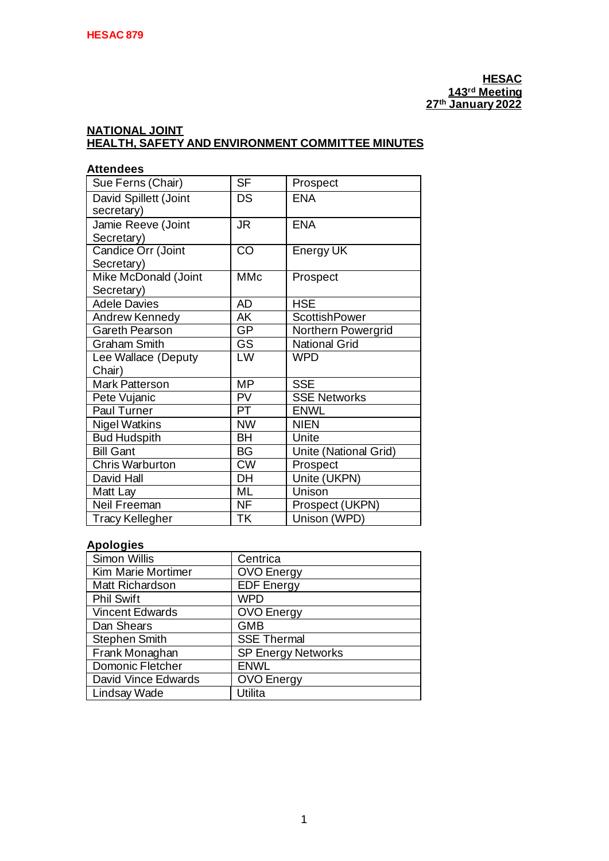## **NATIONAL JOINT HEALTH, SAFETY AND ENVIRONMENT COMMITTEE MINUTES**

| <b>Attendees</b>       |                        |                       |  |  |
|------------------------|------------------------|-----------------------|--|--|
| Sue Ferns (Chair)      | <b>SF</b>              | Prospect              |  |  |
| David Spillett (Joint  | DS                     | <b>ENA</b>            |  |  |
| secretary)             |                        |                       |  |  |
| Jamie Reeve (Joint     | <b>JR</b>              | <b>ENA</b>            |  |  |
| Secretary)             |                        |                       |  |  |
| Candice Orr (Joint     | $\overline{\text{CO}}$ | Energy UK             |  |  |
| Secretary)             |                        |                       |  |  |
| Mike McDonald (Joint   | <b>MMc</b>             | Prospect              |  |  |
| Secretary)             |                        |                       |  |  |
| <b>Adele Davies</b>    | <b>AD</b>              | <b>HSE</b>            |  |  |
| Andrew Kennedy         | AK                     | <b>ScottishPower</b>  |  |  |
| Gareth Pearson         | GP                     | Northern Powergrid    |  |  |
| <b>Graham Smith</b>    | GS                     | <b>National Grid</b>  |  |  |
| Lee Wallace (Deputy    | LW                     | <b>WPD</b>            |  |  |
| Chair)                 |                        |                       |  |  |
| Mark Patterson         | <b>MP</b>              | <b>SSE</b>            |  |  |
| Pete Vujanic           | PV                     | <b>SSE Networks</b>   |  |  |
| Paul Turner            | PT                     | <b>ENWL</b>           |  |  |
| <b>Nigel Watkins</b>   | <b>NW</b>              | <b>NIEN</b>           |  |  |
| <b>Bud Hudspith</b>    | <b>BH</b>              | Unite                 |  |  |
| <b>Bill Gant</b>       | <b>BG</b>              | Unite (National Grid) |  |  |
| <b>Chris Warburton</b> | $\overline{\text{CW}}$ | Prospect              |  |  |
| David Hall             | DH                     | Unite (UKPN)          |  |  |
| Matt Lay               | <b>ML</b>              | Unison                |  |  |
| Neil Freeman           | <b>NF</b>              | Prospect (UKPN)       |  |  |
| <b>Tracy Kellegher</b> | <b>TK</b>              | Unison (WPD)          |  |  |

## **Apologies**

| Simon Willis        | Centrica                  |
|---------------------|---------------------------|
| Kim Marie Mortimer  | <b>OVO Energy</b>         |
| Matt Richardson     | <b>EDF</b> Energy         |
| <b>Phil Swift</b>   | <b>WPD</b>                |
| Vincent Edwards     | <b>OVO</b> Energy         |
| Dan Shears          | <b>GMB</b>                |
| Stephen Smith       | <b>SSE Thermal</b>        |
| Frank Monaghan      | <b>SP Energy Networks</b> |
| Domonic Fletcher    | <b>ENWL</b>               |
| David Vince Edwards | <b>OVO</b> Energy         |
| Lindsay Wade        | Utilita                   |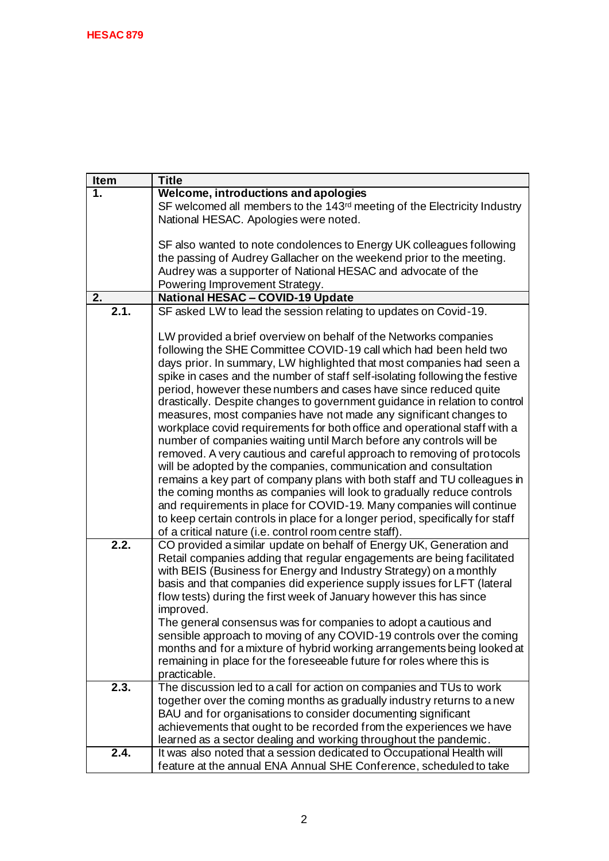| Welcome, introductions and apologies<br>1.<br>SF welcomed all members to the 143 <sup>rd</sup> meeting of the Electricity Industry |
|------------------------------------------------------------------------------------------------------------------------------------|
|                                                                                                                                    |
|                                                                                                                                    |
| National HESAC. Apologies were noted.                                                                                              |
|                                                                                                                                    |
| SF also wanted to note condolences to Energy UK colleagues following                                                               |
| the passing of Audrey Gallacher on the weekend prior to the meeting.                                                               |
| Audrey was a supporter of National HESAC and advocate of the                                                                       |
| Powering Improvement Strategy.                                                                                                     |
| <b>National HESAC - COVID-19 Update</b><br>2.                                                                                      |
| 2.1.<br>SF asked LW to lead the session relating to updates on Covid-19.                                                           |
|                                                                                                                                    |
| LW provided a brief overview on behalf of the Networks companies                                                                   |
| following the SHE Committee COVID-19 call which had been held two                                                                  |
| days prior. In summary, LW highlighted that most companies had seen a                                                              |
| spike in cases and the number of staff self-isolating following the festive                                                        |
| period, however these numbers and cases have since reduced quite                                                                   |
| drastically. Despite changes to government guidance in relation to control                                                         |
| measures, most companies have not made any significant changes to                                                                  |
| workplace covid requirements for both office and operational staff with a                                                          |
| number of companies waiting until March before any controls will be                                                                |
| removed. A very cautious and careful approach to removing of protocols                                                             |
| will be adopted by the companies, communication and consultation                                                                   |
| remains a key part of company plans with both staff and TU colleagues in                                                           |
| the coming months as companies will look to gradually reduce controls                                                              |
| and requirements in place for COVID-19. Many companies will continue                                                               |
| to keep certain controls in place for a longer period, specifically for staff                                                      |
| of a critical nature (i.e. control room centre staff).                                                                             |
| 2.2.<br>CO provided a similar update on behalf of Energy UK, Generation and                                                        |
| Retail companies adding that regular engagements are being facilitated                                                             |
| with BEIS (Business for Energy and Industry Strategy) on a monthly                                                                 |
| basis and that companies did experience supply issues for LFT (lateral                                                             |
| flow tests) during the first week of January however this has since                                                                |
| improved.                                                                                                                          |
| The general consensus was for companies to adopt a cautious and                                                                    |
| sensible approach to moving of any COVID-19 controls over the coming                                                               |
| months and for a mixture of hybrid working arrangements being looked at                                                            |
| remaining in place for the foreseeable future for roles where this is                                                              |
| practicable.                                                                                                                       |
| 2.3.<br>The discussion led to a call for action on companies and TUs to work                                                       |
| together over the coming months as gradually industry returns to a new                                                             |
| BAU and for organisations to consider documenting significant                                                                      |
| achievements that ought to be recorded from the experiences we have                                                                |
| learned as a sector dealing and working throughout the pandemic.                                                                   |
| 2.4.<br>It was also noted that a session dedicated to Occupational Health will                                                     |
| feature at the annual ENA Annual SHE Conference, scheduled to take                                                                 |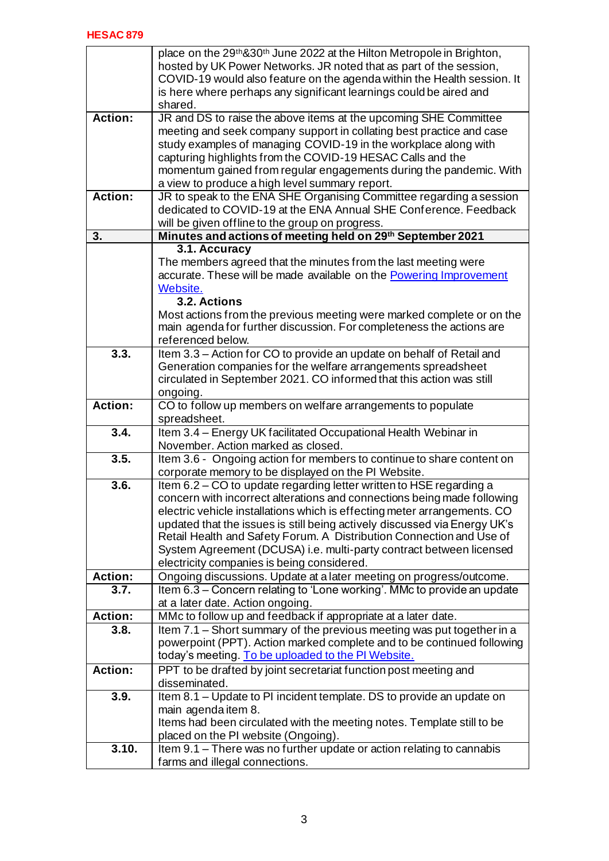|                  | place on the 29 <sup>th</sup> &30 <sup>th</sup> June 2022 at the Hilton Metropole in Brighton,<br>hosted by UK Power Networks. JR noted that as part of the session,<br>COVID-19 would also feature on the agenda within the Health session. It<br>is here where perhaps any significant learnings could be aired and<br>shared. |
|------------------|----------------------------------------------------------------------------------------------------------------------------------------------------------------------------------------------------------------------------------------------------------------------------------------------------------------------------------|
| <b>Action:</b>   | JR and DS to raise the above items at the upcoming SHE Committee                                                                                                                                                                                                                                                                 |
|                  | meeting and seek company support in collating best practice and case                                                                                                                                                                                                                                                             |
|                  | study examples of managing COVID-19 in the workplace along with                                                                                                                                                                                                                                                                  |
|                  | capturing highlights from the COVID-19 HESAC Calls and the                                                                                                                                                                                                                                                                       |
|                  | momentum gained from regular engagements during the pandemic. With<br>a view to produce a high level summary report.                                                                                                                                                                                                             |
| <b>Action:</b>   | JR to speak to the ENA SHE Organising Committee regarding a session                                                                                                                                                                                                                                                              |
|                  | dedicated to COVID-19 at the ENA Annual SHE Conference. Feedback                                                                                                                                                                                                                                                                 |
|                  | will be given offline to the group on progress.                                                                                                                                                                                                                                                                                  |
| $\overline{3}$ . | Minutes and actions of meeting held on 29th September 2021                                                                                                                                                                                                                                                                       |
|                  | 3.1. Accuracy                                                                                                                                                                                                                                                                                                                    |
|                  | The members agreed that the minutes from the last meeting were                                                                                                                                                                                                                                                                   |
|                  | accurate. These will be made available on the Powering Improvement                                                                                                                                                                                                                                                               |
|                  | Website.                                                                                                                                                                                                                                                                                                                         |
|                  | 3.2. Actions                                                                                                                                                                                                                                                                                                                     |
|                  | Most actions from the previous meeting were marked complete or on the                                                                                                                                                                                                                                                            |
|                  | main agenda for further discussion. For completeness the actions are                                                                                                                                                                                                                                                             |
| 3.3.             | referenced below.<br>Item 3.3 - Action for CO to provide an update on behalf of Retail and                                                                                                                                                                                                                                       |
|                  | Generation companies for the welfare arrangements spreadsheet                                                                                                                                                                                                                                                                    |
|                  | circulated in September 2021. CO informed that this action was still                                                                                                                                                                                                                                                             |
|                  | ongoing.                                                                                                                                                                                                                                                                                                                         |
| <b>Action:</b>   | CO to follow up members on welfare arrangements to populate                                                                                                                                                                                                                                                                      |
|                  | spreadsheet.                                                                                                                                                                                                                                                                                                                     |
| 3.4.             | Item 3.4 - Energy UK facilitated Occupational Health Webinar in                                                                                                                                                                                                                                                                  |
|                  | November, Action marked as closed.                                                                                                                                                                                                                                                                                               |
| 3.5.             | Item 3.6 - Ongoing action for members to continue to share content on                                                                                                                                                                                                                                                            |
|                  | corporate memory to be displayed on the PI Website.                                                                                                                                                                                                                                                                              |
| 3.6.             | Item 6.2 - CO to update regarding letter written to HSE regarding a                                                                                                                                                                                                                                                              |
|                  | concern with incorrect alterations and connections being made following                                                                                                                                                                                                                                                          |
|                  | electric vehicle installations which is effecting meter arrangements. CO<br>updated that the issues is still being actively discussed via Energy UK's                                                                                                                                                                            |
|                  | Retail Health and Safety Forum. A Distribution Connection and Use of                                                                                                                                                                                                                                                             |
|                  | System Agreement (DCUSA) i.e. multi-party contract between licensed                                                                                                                                                                                                                                                              |
|                  | electricity companies is being considered.                                                                                                                                                                                                                                                                                       |
| <b>Action:</b>   | Ongoing discussions. Update at a later meeting on progress/outcome.                                                                                                                                                                                                                                                              |
| 3.7.             | Item 6.3 - Concern relating to 'Lone working'. MMc to provide an update                                                                                                                                                                                                                                                          |
|                  | at a later date. Action ongoing.                                                                                                                                                                                                                                                                                                 |
| <b>Action:</b>   | MMc to follow up and feedback if appropriate at a later date.                                                                                                                                                                                                                                                                    |
| 3.8.             | Item 7.1 – Short summary of the previous meeting was put together in a                                                                                                                                                                                                                                                           |
|                  | powerpoint (PPT). Action marked complete and to be continued following                                                                                                                                                                                                                                                           |
|                  | today's meeting. To be uploaded to the PI Website.                                                                                                                                                                                                                                                                               |
| <b>Action:</b>   | PPT to be drafted by joint secretariat function post meeting and                                                                                                                                                                                                                                                                 |
| 3.9.             | disseminated.<br>Item 8.1 - Update to PI incident template. DS to provide an update on                                                                                                                                                                                                                                           |
|                  | main agenda item 8.                                                                                                                                                                                                                                                                                                              |
|                  | Items had been circulated with the meeting notes. Template still to be                                                                                                                                                                                                                                                           |
|                  | placed on the PI website (Ongoing).                                                                                                                                                                                                                                                                                              |
| 3.10.            | Item 9.1 - There was no further update or action relating to cannabis                                                                                                                                                                                                                                                            |
|                  | farms and illegal connections.                                                                                                                                                                                                                                                                                                   |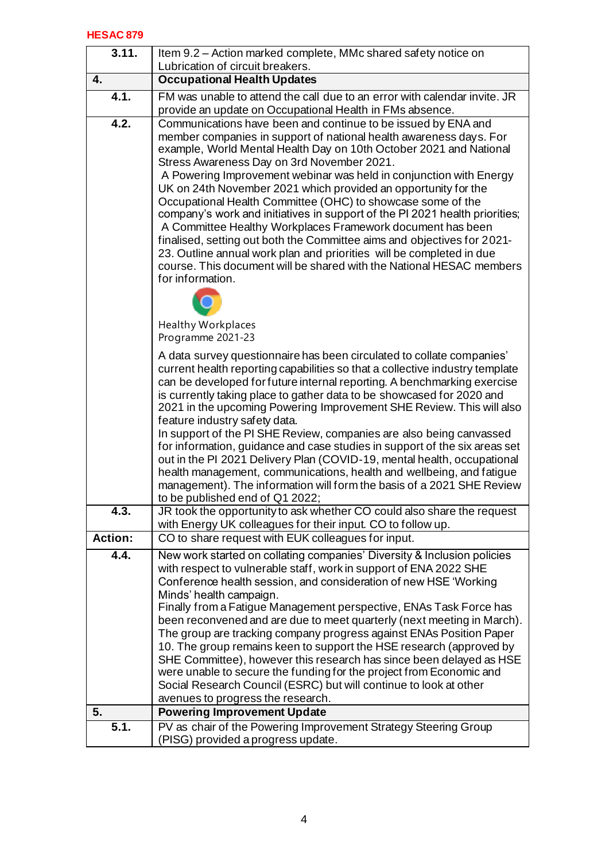## **HESAC 879**

| 3.11.          | Item 9.2 – Action marked complete, MMc shared safety notice on<br>Lubrication of circuit breakers.                                                    |
|----------------|-------------------------------------------------------------------------------------------------------------------------------------------------------|
| 4.             | <b>Occupational Health Updates</b>                                                                                                                    |
| 4.1.           | FM was unable to attend the call due to an error with calendar invite. JR                                                                             |
|                | provide an update on Occupational Health in FMs absence.                                                                                              |
| 4.2.           | Communications have been and continue to be issued by ENA and                                                                                         |
|                | member companies in support of national health awareness days. For                                                                                    |
|                | example, World Mental Health Day on 10th October 2021 and National                                                                                    |
|                | Stress Awareness Day on 3rd November 2021.                                                                                                            |
|                | A Powering Improvement webinar was held in conjunction with Energy<br>UK on 24th November 2021 which provided an opportunity for the                  |
|                | Occupational Health Committee (OHC) to showcase some of the                                                                                           |
|                | company's work and initiatives in support of the PI 2021 health priorities;                                                                           |
|                | A Committee Healthy Workplaces Framework document has been                                                                                            |
|                | finalised, setting out both the Committee aims and objectives for 2021-                                                                               |
|                | 23. Outline annual work plan and priorities will be completed in due                                                                                  |
|                | course. This document will be shared with the National HESAC members                                                                                  |
|                | for information.                                                                                                                                      |
|                |                                                                                                                                                       |
|                |                                                                                                                                                       |
|                | <b>Healthy Workplaces</b><br>Programme 2021-23                                                                                                        |
|                |                                                                                                                                                       |
|                | A data survey questionnaire has been circulated to collate companies'<br>current health reporting capabilities so that a collective industry template |
|                | can be developed for future internal reporting. A benchmarking exercise                                                                               |
|                | is currently taking place to gather data to be showcased for 2020 and                                                                                 |
|                | 2021 in the upcoming Powering Improvement SHE Review. This will also                                                                                  |
|                | feature industry safety data.                                                                                                                         |
|                | In support of the PI SHE Review, companies are also being canvassed                                                                                   |
|                | for information, guidance and case studies in support of the six areas set                                                                            |
|                | out in the PI 2021 Delivery Plan (COVID-19, mental health, occupational<br>health management, communications, health and wellbeing, and fatigue       |
|                | management). The information will form the basis of a 2021 SHE Review                                                                                 |
|                | to be published end of Q1 2022;                                                                                                                       |
| 4.3.           | JR took the opportunity to ask whether CO could also share the request                                                                                |
|                | with Energy UK colleagues for their input. CO to follow up.                                                                                           |
| <b>Action:</b> | CO to share request with EUK colleagues for input.                                                                                                    |
| 4.4.           | New work started on collating companies' Diversity & Inclusion policies                                                                               |
|                | with respect to vulnerable staff, work in support of ENA 2022 SHE                                                                                     |
|                | Conference health session, and consideration of new HSE 'Working<br>Minds' health campaign.                                                           |
|                | Finally from a Fatigue Management perspective, ENAs Task Force has                                                                                    |
|                | been reconvened and are due to meet quarterly (next meeting in March).                                                                                |
|                | The group are tracking company progress against ENAs Position Paper                                                                                   |
|                | 10. The group remains keen to support the HSE research (approved by                                                                                   |
|                | SHE Committee), however this research has since been delayed as HSE                                                                                   |
|                | were unable to secure the funding for the project from Economic and                                                                                   |
|                | Social Research Council (ESRC) but will continue to look at other<br>avenues to progress the research.                                                |
| 5.             | <b>Powering Improvement Update</b>                                                                                                                    |
| 5.1.           | PV as chair of the Powering Improvement Strategy Steering Group                                                                                       |
|                | (PISG) provided a progress update.                                                                                                                    |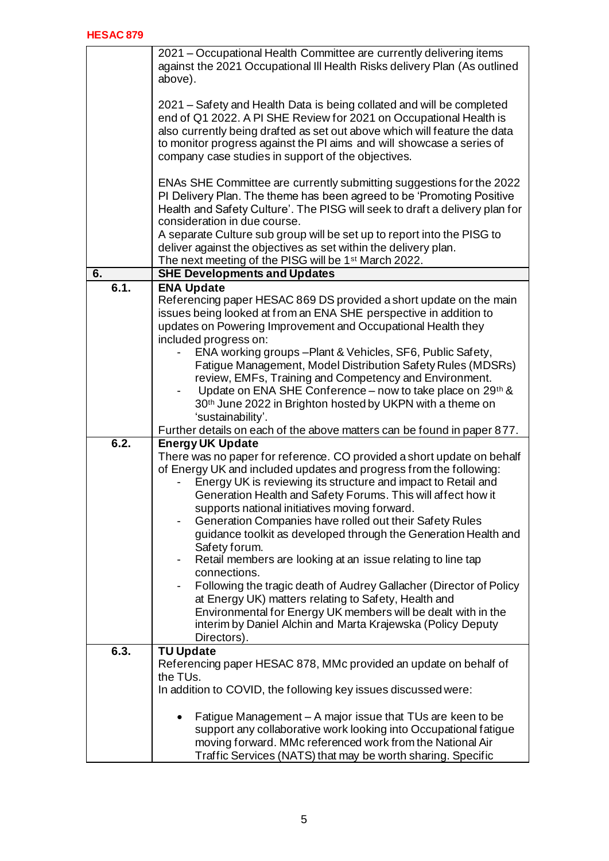|      | 2021 – Occupational Health Committee are currently delivering items<br>against the 2021 Occupational III Health Risks delivery Plan (As outlined<br>above).                                                                                                                                                                                                                                                                                                                                                                                                                                                                                                                                                                                                                                                                                                                   |
|------|-------------------------------------------------------------------------------------------------------------------------------------------------------------------------------------------------------------------------------------------------------------------------------------------------------------------------------------------------------------------------------------------------------------------------------------------------------------------------------------------------------------------------------------------------------------------------------------------------------------------------------------------------------------------------------------------------------------------------------------------------------------------------------------------------------------------------------------------------------------------------------|
|      | 2021 – Safety and Health Data is being collated and will be completed<br>end of Q1 2022. A PI SHE Review for 2021 on Occupational Health is<br>also currently being drafted as set out above which will feature the data<br>to monitor progress against the PI aims and will showcase a series of<br>company case studies in support of the objectives.                                                                                                                                                                                                                                                                                                                                                                                                                                                                                                                       |
|      | ENAs SHE Committee are currently submitting suggestions for the 2022<br>PI Delivery Plan. The theme has been agreed to be 'Promoting Positive<br>Health and Safety Culture'. The PISG will seek to draft a delivery plan for<br>consideration in due course.                                                                                                                                                                                                                                                                                                                                                                                                                                                                                                                                                                                                                  |
|      | A separate Culture sub group will be set up to report into the PISG to<br>deliver against the objectives as set within the delivery plan.<br>The next meeting of the PISG will be 1 <sup>st</sup> March 2022.                                                                                                                                                                                                                                                                                                                                                                                                                                                                                                                                                                                                                                                                 |
| 6.   | <b>SHE Developments and Updates</b>                                                                                                                                                                                                                                                                                                                                                                                                                                                                                                                                                                                                                                                                                                                                                                                                                                           |
| 6.1. | <b>ENA Update</b><br>Referencing paper HESAC 869 DS provided a short update on the main<br>issues being looked at from an ENA SHE perspective in addition to<br>updates on Powering Improvement and Occupational Health they<br>included progress on:                                                                                                                                                                                                                                                                                                                                                                                                                                                                                                                                                                                                                         |
|      | ENA working groups - Plant & Vehicles, SF6, Public Safety,<br>Fatigue Management, Model Distribution Safety Rules (MDSRs)<br>review, EMFs, Training and Competency and Environment.<br>Update on ENA SHE Conference - now to take place on 29th &<br>30 <sup>th</sup> June 2022 in Brighton hosted by UKPN with a theme on<br>'sustainability'.                                                                                                                                                                                                                                                                                                                                                                                                                                                                                                                               |
|      | Further details on each of the above matters can be found in paper 877.                                                                                                                                                                                                                                                                                                                                                                                                                                                                                                                                                                                                                                                                                                                                                                                                       |
| 6.2. | <b>Energy UK Update</b>                                                                                                                                                                                                                                                                                                                                                                                                                                                                                                                                                                                                                                                                                                                                                                                                                                                       |
|      | There was no paper for reference. CO provided a short update on behalf<br>of Energy UK and included updates and progress from the following:<br>Energy UK is reviewing its structure and impact to Retail and<br>Generation Health and Safety Forums. This will affect how it<br>supports national initiatives moving forward.<br>Generation Companies have rolled out their Safety Rules<br>guidance toolkit as developed through the Generation Health and<br>Safety forum.<br>Retail members are looking at an issue relating to line tap<br>$\blacksquare$<br>connections.<br>Following the tragic death of Audrey Gallacher (Director of Policy<br>$\blacksquare$<br>at Energy UK) matters relating to Safety, Health and<br>Environmental for Energy UK members will be dealt with in the<br>interim by Daniel Alchin and Marta Krajewska (Policy Deputy<br>Directors). |
| 6.3. | <b>TU Update</b><br>Referencing paper HESAC 878, MMc provided an update on behalf of<br>the TUs.<br>In addition to COVID, the following key issues discussed were:                                                                                                                                                                                                                                                                                                                                                                                                                                                                                                                                                                                                                                                                                                            |
|      | Fatigue Management - A major issue that TUs are keen to be<br>support any collaborative work looking into Occupational fatigue<br>moving forward. MMc referenced work from the National Air<br>Traffic Services (NATS) that may be worth sharing. Specific                                                                                                                                                                                                                                                                                                                                                                                                                                                                                                                                                                                                                    |